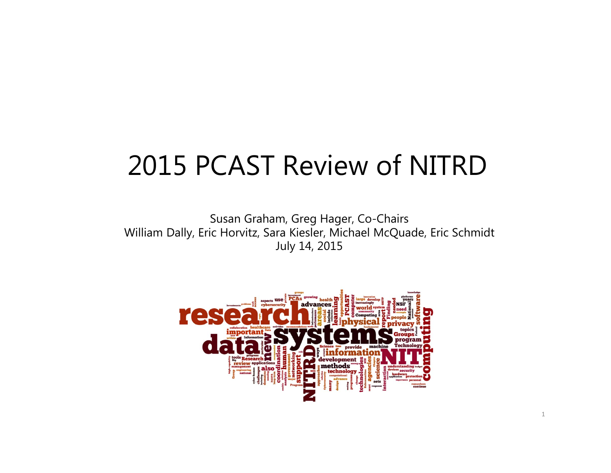# 2015 PCAST Review of NITRD

Susan Graham, Greg Hager, Co-Chairs William Dally, Eric Horvitz, Sara Kiesler, Michael McQuade, Eric Schmidt July 14, 2015

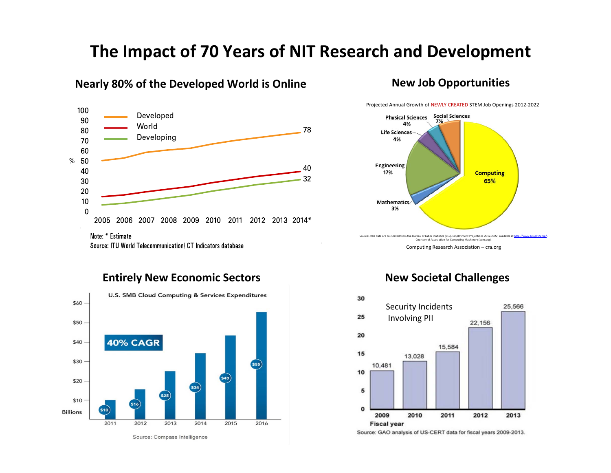## **The Impact of 70 Years of NIT Research and Development**

#### **Nearly 80% of the Developed World is Online**



100 Developed 90 World 80 78 Developing 70 60  $\%$ 50 40 40 32 30 20  $10$  $\Omega$ 2005 2006 2007 2008 2009 2010 2011 2012 2013 2014\* Note: \* Estimate

Source: ITU World Telecommunication/ICT Indicators database

Projected Annual Growth of NEWLY CREATED STEM Job Openings 2012‐2022



Computing Research Association – cra.org



**Entirely New Economic Sectors**

### **New Societal Challenges**



Source: GAO analysis of US-CERT data for fiscal years 2009-2013.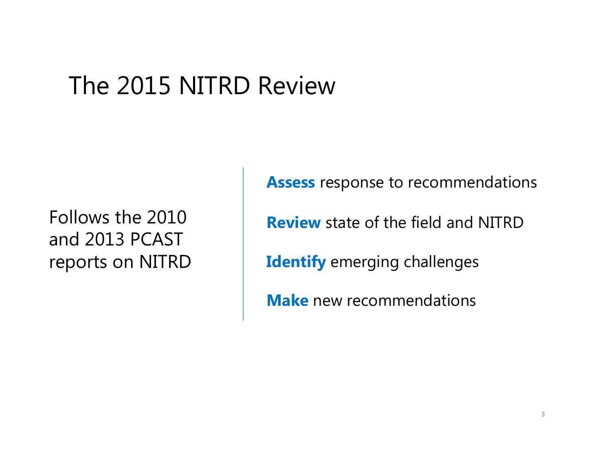# The 2015 NITRD Review

Follows the 2010 and 2013 PCAST reports on NITRD

**Assess** response to recommendations **Review** state of the field and NITRD**Identify** emerging challenges **Make** new recommendations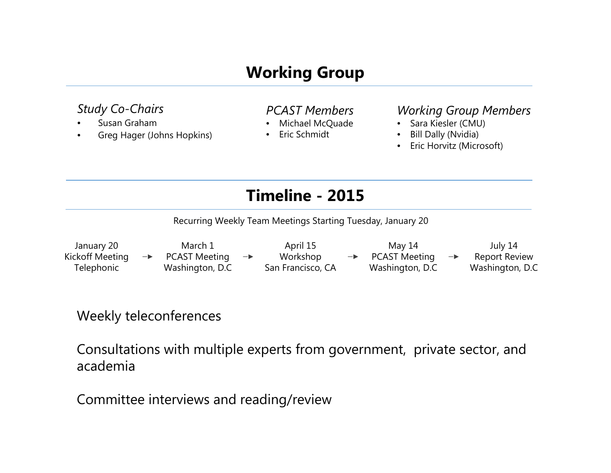## **Working Group**

#### *Study Co-Chairs*

- •Susan Graham
- •Greg Hager (Johns Hopkins)

#### *PCAST Members*

- •Michael McQuade
- •Eric Schmidt

#### *Working Group Members*

- Sara Kiesler (CMU)
- •Bill Dally (Nvidia)
- •Eric Horvitz (Microsoft)

## **Timeline - 2015**

Recurring Weekly Team Meetings Starting Tuesday, January 20

January 20 March 1April 15 May 14 July 14 PCAST Meeting Workshop PCAST Meeting Kickoff Meeting Report Review  $\rightarrow$  $\rightarrow$ Washington, D.C San Francisco, CA Washington, D.C Washington, D.C **Telephonic** 

## Weekly teleconferences

Consultations with multiple experts from government, private sector, and academia

Committee interviews and reading/review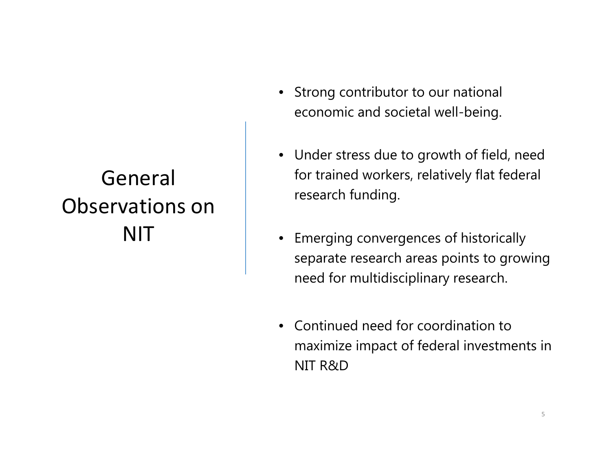## General Observations onNIT

- Strong contributor to our national economic and societal well-being.
- Under stress due to growth of field, need for trained workers, relatively flat federal research funding.
- Emerging convergences of historically separate research areas points to growing need for multidisciplinary research.
- Continued need for coordination to maximize impact of federal investments in NIT R&D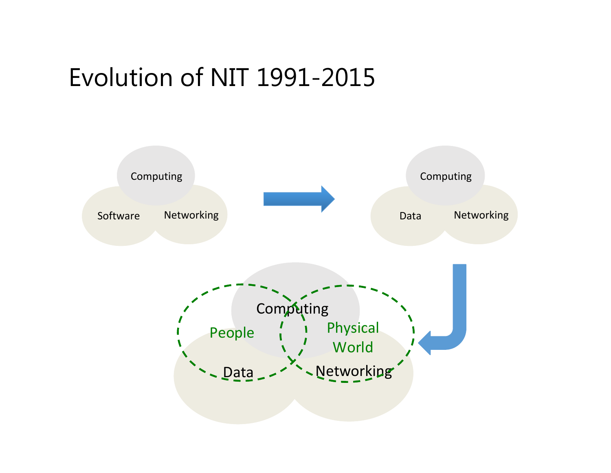## Evolution of NIT 1991-2015

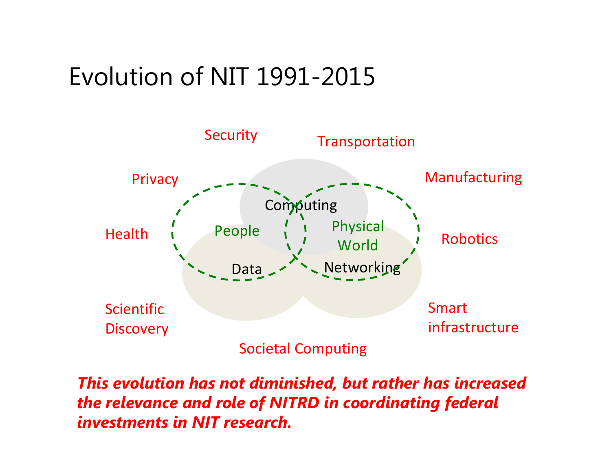# Evolution of NIT 1991-2015



*This evolution has not diminished, but rather has increased the relevance and role of NITRD in coordinating federal investments in NIT research.*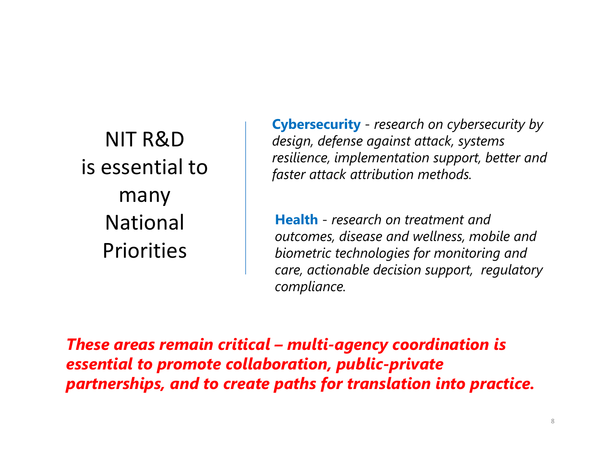NIT R&Dis essential tomany National Priorities

**Cybersecurity** - *research on cybersecurity by design, defense against attack, systems resilience, implementation support, better and faster attack attribution methods.*

**Health** - *research on treatment and outcomes, disease and wellness, mobile and biometric technologies for monitoring and care, actionable decision support, regulatory compliance.*

*These areas remain critical – multi-agency coordination is essential to promote collaboration, public-private partnerships, and to create paths for translation into practice.*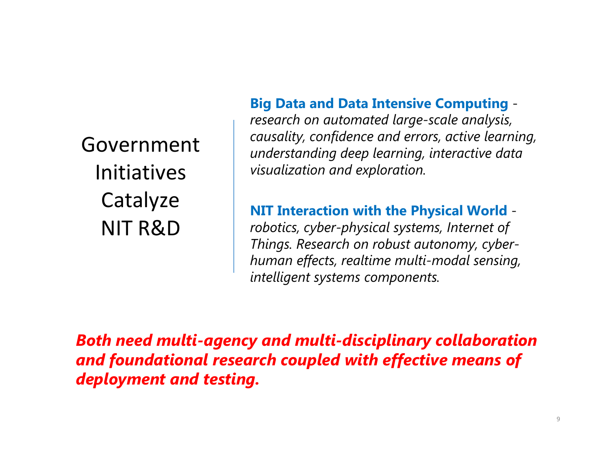GovernmentInitiativesCatalyze NIT R&D

### **Big Data and Data Intensive Computing** -

*research on automated large-scale analysis, causality, confidence and errors, active learning, understanding deep learning, interactive data visualization and exploration.*

**NIT Interaction with the Physical World**  *robotics, cyber-physical systems, Internet of Things. Research on robust autonomy, cyberhuman effects, realtime multi-modal sensing, intelligent systems components.*

*Both need multi-agency and multi-disciplinary collaboration and foundational research coupled with effective means of deployment and testing.*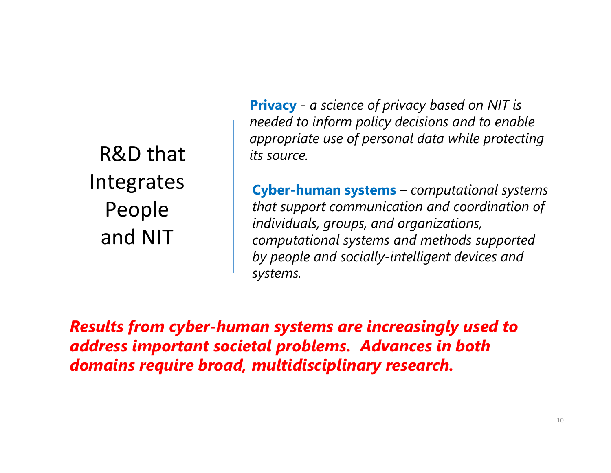R&D that Integrates People and NIT

**Privacy** *- a science of privacy based on NIT is needed to inform policy decisions and to enable appropriate use of personal data while protecting its source.*

**Cyber-human systems** *– computational systems that support communication and coordination of individuals, groups, and organizations, computational systems and methods supported by people and socially-intelligent devices and systems.*

*Results from cyber-human systems are increasingly used to address important societal problems. Advances in both domains require broad, multidisciplinary research.*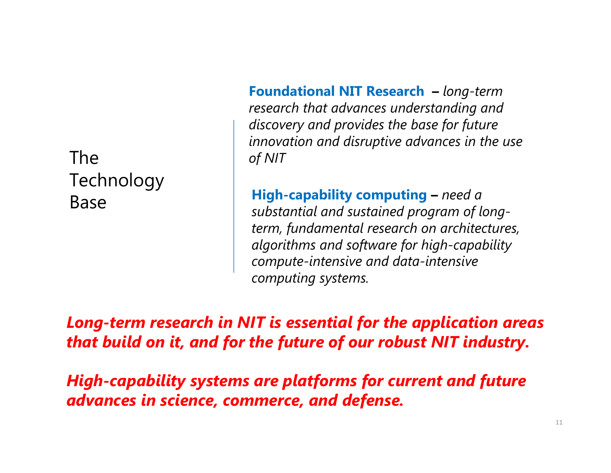The Technology Base

**Foundational NIT Research –** *long-term research that advances understanding and discovery and provides the base for future innovation and disruptive advances in the use of NIT*

**High-capability computing –** *need a substantial and sustained program of longterm, fundamental research on architectures, algorithms and software for high-capability compute-intensive and data-intensive computing systems.*

*Long-term research in NIT is essential for the application areas that build on it, and for the future of our robust NIT industry.* 

*High-capability systems are platforms for current and future advances in science, commerce, and defense.*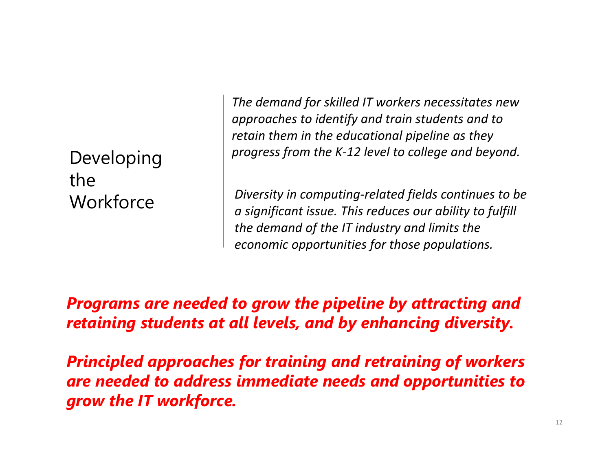Developing the**Workforce** 

*The demand for skilled IT workers necessitates new approaches to identify and train students and to retain them in the educational pipeline as they progress from the K‐12 level to college and beyond.*

*Diversity in computing‐related fields continues to be a significant issue. This reduces our ability to fulfill the demand of the IT industry and limits the economic opportunities for those populations.*

*Programs are needed to grow the pipeline by attracting and retaining students at all levels, and by enhancing diversity.* 

*Principled approaches for training and retraining of workers are needed to address immediate needs and opportunities to grow the IT workforce.*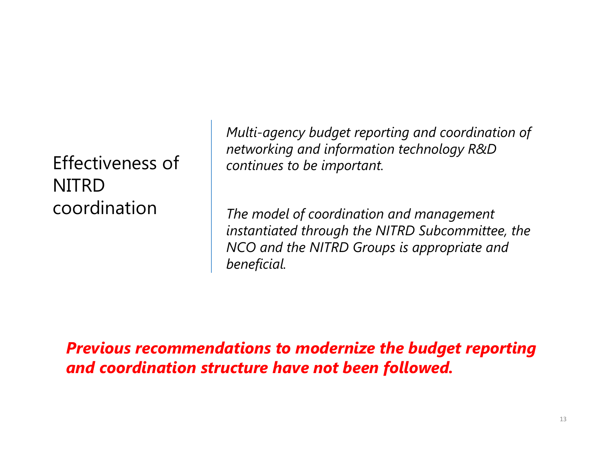Effectiveness of **NITRD** coordination

*Multi-agency budget reporting and coordination of networking and information technology R&D continues to be important.*

*The model of coordination and management instantiated through the NITRD Subcommittee, the NCO and the NITRD Groups is appropriate and beneficial.* 

*Previous recommendations to modernize the budget reporting and coordination structure have not been followed.*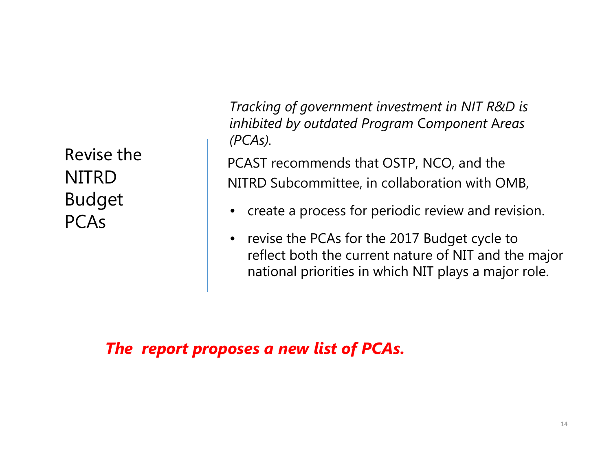Revise the NITRD Budget **PCAs** 

*Tracking of government investment in NIT R&D is inhibited by outdated Program* C*omponent* A*reas (PCAs).*

PCAST recommends that OSTP, NCO, and the NITRD Subcommittee, in collaboration with OMB,

- •create a process for periodic review and revision.
- $\bullet$  revise the PCAs for the 2017 Budget cycle to reflect both the current nature of NIT and the major national priorities in which NIT plays a major role.

*The report proposes a new list of PCAs.*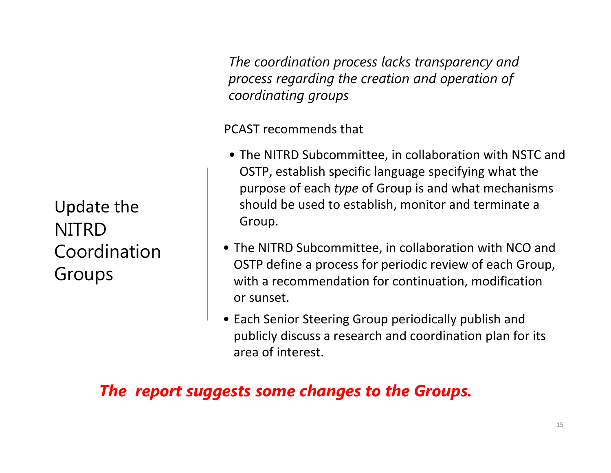*The coordination process lacks transparency and process regarding the creation and operation of coordinating groups*

#### PCAST recommends that

- The NITRD Subcommittee, in collaboration with NSTC and OSTP, establish specific language specifying what the purpose of each *type* of Group is and what mechanisms should be used to establish, monitor and terminate <sup>a</sup> Group.
- The NITRD Subcommittee, in collaboration with NCO and OSTP define <sup>a</sup> process for periodic review of each Group, with <sup>a</sup> recommendation for continuation, modification or sunset.
- Each Senior Steering Group periodically publish and publicly discuss <sup>a</sup> research and coordination plan for its area of interest.

## *The report suggests some changes to the Groups.*

Update the NITRD Coordination Groups